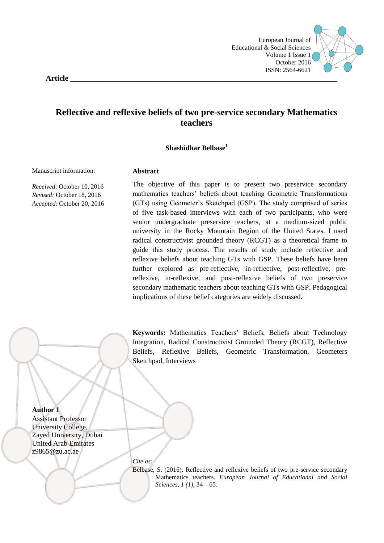

**Article \_\_\_\_\_\_\_\_\_\_\_\_\_\_\_\_\_\_\_\_\_\_\_\_\_\_\_\_\_\_\_\_\_\_\_\_\_\_\_\_\_\_\_\_\_\_\_\_\_\_\_\_\_\_\_\_\_\_\_\_\_\_\_\_\_\_\_\_\_**

# **Reflective and reflexive beliefs of two pre-service secondary Mathematics teachers**

#### **Shashidhar Belbase<sup>1</sup>**

Manuscript information:

*Received*: October 10, 2016 *Revised:* October 18, 2016 *Accepted*: October 20, 2016

# **Abstract**

The objective of this paper is to present two preservice secondary mathematics teachers" beliefs about teaching Geometric Transformations (GTs) using Geometer"s Sketchpad (GSP). The study comprised of series of five task-based interviews with each of two participants, who were senior undergraduate preservice teachers, at a medium-sized public university in the Rocky Mountain Region of the United States. I used radical constructivist grounded theory (RCGT) as a theoretical frame to guide this study process. The results of study include reflective and reflexive beliefs about teaching GTs with GSP. These beliefs have been further explored as pre-reflective, in-reflective, post-reflective, prereflexive, in-reflexive, and post-reflexive beliefs of two preservice secondary mathematic teachers about teaching GTs with GSP. Pedagogical implications of these belief categories are widely discussed.

**Keywords:** Mathematics Teachers" Beliefs, Beliefs about Technology Integration, Radical Constructivist Grounded Theory (RCGT), Reflective Beliefs, Reflexive Beliefs, Geometric Transformation, Geometers Sketchpad, Interviews

**Author 1**

Assistant Professor University College, Zayed University, Dubai United Arab Emirates [z9865@zu.ac.ae](mailto:z9865@zu.ac.ae)

*Cite as:* 

Belbase, S. (2016). Reflective and reflexive beliefs of two pre-service secondary Mathematics teachers. *European Journal of Educational and Social Sciences, 1 (1),* 34 – 65.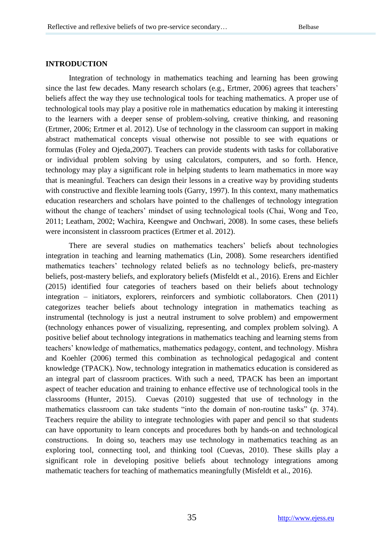#### **INTRODUCTION**

Integration of technology in mathematics teaching and learning has been growing since the last few decades. Many research scholars (e.g., Ertmer, 2006) agrees that teachers' beliefs affect the way they use technological tools for teaching mathematics. A proper use of technological tools may play a positive role in mathematics education by making it interesting to the learners with a deeper sense of problem-solving, creative thinking, and reasoning (Ertmer, 2006; Ertmer et al. 2012). Use of technology in the classroom can support in making abstract mathematical concepts visual otherwise not possible to see with equations or formulas (Foley and Ojeda,2007). Teachers can provide students with tasks for collaborative or individual problem solving by using calculators, computers, and so forth. Hence, technology may play a significant role in helping students to learn mathematics in more way that is meaningful. Teachers can design their lessons in a creative way by providing students with constructive and flexible learning tools (Garry, 1997). In this context, many mathematics education researchers and scholars have pointed to the challenges of technology integration without the change of teachers' mindset of using technological tools (Chai, Wong and Teo, 2011; Leatham, 2002; Wachira, Keengwe and Onchwari, 2008). In some cases, these beliefs were inconsistent in classroom practices (Ertmer et al. 2012).

There are several studies on mathematics teachers" beliefs about technologies integration in teaching and learning mathematics (Lin, 2008). Some researchers identified mathematics teachers' technology related beliefs as no technology beliefs, pre-mastery beliefs, post-mastery beliefs, and exploratory beliefs (Misfeldt et al., 2016). Erens and Eichler (2015) identified four categories of teachers based on their beliefs about technology integration – initiators, explorers, reinforcers and symbiotic collaborators. Chen (2011) categorizes teacher beliefs about technology integration in mathematics teaching as instrumental (technology is just a neutral instrument to solve problem) and empowerment (technology enhances power of visualizing, representing, and complex problem solving). A positive belief about technology integrations in mathematics teaching and learning stems from teachers" knowledge of mathematics, mathematics pedagogy, content, and technology. Mishra and Koehler (2006) termed this combination as technological pedagogical and content knowledge (TPACK). Now, technology integration in mathematics education is considered as an integral part of classroom practices. With such a need, TPACK has been an important aspect of teacher education and training to enhance effective use of technological tools in the classrooms (Hunter, 2015). Cuevas (2010) suggested that use of technology in the mathematics classroom can take students "into the domain of non-routine tasks" (p. 374). Teachers require the ability to integrate technologies with paper and pencil so that students can have opportunity to learn concepts and procedures both by hands-on and technological constructions. In doing so, teachers may use technology in mathematics teaching as an exploring tool, connecting tool, and thinking tool (Cuevas, 2010). These skills play a significant role in developing positive beliefs about technology integrations among mathematic teachers for teaching of mathematics meaningfully (Misfeldt et al., 2016).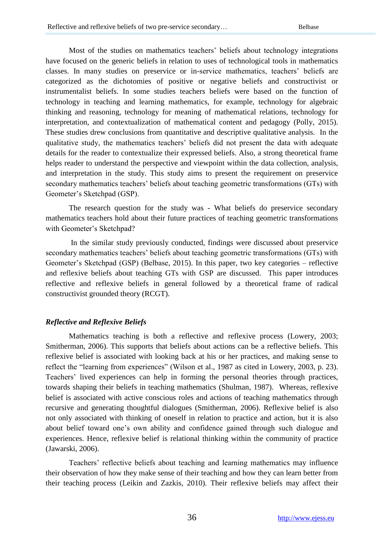Most of the studies on mathematics teachers' beliefs about technology integrations have focused on the generic beliefs in relation to uses of technological tools in mathematics classes. In many studies on preservice or in-service mathematics, teachers" beliefs are categorized as the dichotomies of positive or negative beliefs and constructivist or instrumentalist beliefs. In some studies teachers beliefs were based on the function of technology in teaching and learning mathematics, for example, technology for algebraic thinking and reasoning, technology for meaning of mathematical relations, technology for interpretation, and contextualization of mathematical content and pedagogy (Polly, 2015). These studies drew conclusions from quantitative and descriptive qualitative analysis. In the qualitative study, the mathematics teachers" beliefs did not present the data with adequate details for the reader to contextualize their expressed beliefs. Also, a strong theoretical frame helps reader to understand the perspective and viewpoint within the data collection, analysis, and interpretation in the study. This study aims to present the requirement on preservice secondary mathematics teachers' beliefs about teaching geometric transformations (GTs) with Geometer"s Sketchpad (GSP).

The research question for the study was - What beliefs do preservice secondary mathematics teachers hold about their future practices of teaching geometric transformations with Geometer's Sketchpad?

In the similar study previously conducted, findings were discussed about preservice secondary mathematics teachers" beliefs about teaching geometric transformations (GTs) with Geometer's Sketchpad (GSP) (Belbase, 2015). In this paper, two key categories – reflective and reflexive beliefs about teaching GTs with GSP are discussed. This paper introduces reflective and reflexive beliefs in general followed by a theoretical frame of radical constructivist grounded theory (RCGT).

## *Reflective and Reflexive Beliefs*

Mathematics teaching is both a reflective and reflexive process (Lowery, 2003; Smitherman, 2006). This supports that beliefs about actions can be a reflective beliefs. This reflexive belief is associated with looking back at his or her practices, and making sense to reflect the "learning from experiences" (Wilson et al., 1987 as cited in Lowery, 2003, p. 23). Teachers" lived experiences can help in forming the personal theories through practices, towards shaping their beliefs in teaching mathematics (Shulman, 1987). Whereas, reflexive belief is associated with active conscious roles and actions of teaching mathematics through recursive and generating thoughtful dialogues (Smitherman, 2006). Reflexive belief is also not only associated with thinking of oneself in relation to practice and action, but it is also about belief toward one"s own ability and confidence gained through such dialogue and experiences. Hence, reflexive belief is relational thinking within the community of practice (Jawarski, 2006).

Teachers" reflective beliefs about teaching and learning mathematics may influence their observation of how they make sense of their teaching and how they can learn better from their teaching process (Leikin and Zazkis, 2010). Their reflexive beliefs may affect their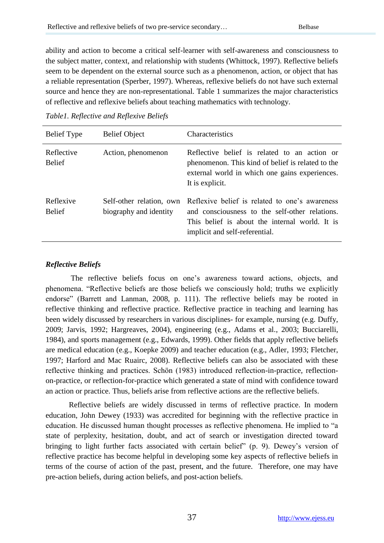ability and action to become a critical self-learner with self-awareness and consciousness to the subject matter, context, and relationship with students (Whittock, 1997). Reflective beliefs seem to be dependent on the external source such as a phenomenon, action, or object that has a reliable representation (Sperber, 1997). Whereas, reflexive beliefs do not have such external source and hence they are non-representational. Table 1 summarizes the major characteristics of reflective and reflexive beliefs about teaching mathematics with technology.

| <b>Belief</b> Type          | <b>Belief Object</b>                               | <b>Characteristics</b>                                                                                                                                                               |
|-----------------------------|----------------------------------------------------|--------------------------------------------------------------------------------------------------------------------------------------------------------------------------------------|
| Reflective<br><b>Belief</b> | Action, phenomenon                                 | Reflective belief is related to an action or<br>phenomenon. This kind of belief is related to the<br>external world in which one gains experiences.<br>It is explicit.               |
| Reflexive<br><b>Belief</b>  | Self-other relation, own<br>biography and identity | Reflexive belief is related to one's awareness<br>and consciousness to the self-other relations.<br>This belief is about the internal world. It is<br>implicit and self-referential. |

*Table1. Reflective and Reflexive Beliefs* 

## *Reflective Beliefs*

The reflective beliefs focus on one"s awareness toward actions, objects, and phenomena. "Reflective beliefs are those beliefs we consciously hold; truths we explicitly endorse" (Barrett and Lanman, 2008, p. 111). The reflective beliefs may be rooted in reflective thinking and reflective practice. Reflective practice in teaching and learning has been widely discussed by researchers in various disciplines- for example, nursing (e.g. Duffy, 2009; Jarvis, 1992; Hargreaves, 2004), engineering (e.g., Adams et al., 2003; Bucciarelli, 1984), and sports management (e.g., Edwards, 1999). Other fields that apply reflective beliefs are medical education (e.g., Koepke 2009) and teacher education (e.g., Adler, 1993; Fletcher, 1997; Harford and Mac Ruairc, 2008). Reflective beliefs can also be associated with these reflective thinking and practices. Schön (1983) introduced reflection-in-practice, reflectionon-practice, or reflection-for-practice which generated a state of mind with confidence toward an action or practice. Thus, beliefs arise from reflective actions are the reflective beliefs.

Reflective beliefs are widely discussed in terms of reflective practice. In modern education, John Dewey (1933) was accredited for beginning with the reflective practice in education. He discussed human thought processes as reflective phenomena. He implied to "a state of perplexity, hesitation, doubt, and act of search or investigation directed toward bringing to light further facts associated with certain belief" (p. 9). Dewey's version of reflective practice has become helpful in developing some key aspects of reflective beliefs in terms of the course of action of the past, present, and the future. Therefore, one may have pre-action beliefs, during action beliefs, and post-action beliefs.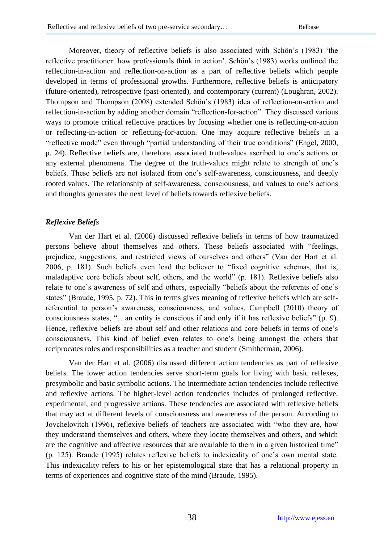Moreover, theory of reflective beliefs is also associated with Schön"s (1983) "the reflective practitioner: how professionals think in action". Schön"s (1983) works outlined the reflection-in-action and reflection-on-action as a part of reflective beliefs which people developed in terms of professional growths. Furthermore, reflective beliefs is anticipatory (future-oriented), retrospective (past-oriented), and contemporary (current) (Loughran, 2002). Thompson and Thompson (2008) extended Schön"s (1983) idea of reflection-on-action and reflection-in-action by adding another domain "reflection-for-action". They discussed various ways to promote critical reflective practices by focusing whether one is reflecting-on-action or reflecting-in-action or reflecting-for-action. One may acquire reflective beliefs in a "reflective mode" even through "partial understanding of their true conditions" (Engel, 2000, p. 24). Reflective beliefs are, therefore, associated truth-values ascribed to one"s actions or any external phenomena. The degree of the truth-values might relate to strength of one"s beliefs. These beliefs are not isolated from one"s self-awareness, consciousness, and deeply rooted values. The relationship of self-awareness, consciousness, and values to one"s actions and thoughts generates the next level of beliefs towards reflexive beliefs.

## *Reflexive Beliefs*

Van der Hart et al. (2006) discussed reflexive beliefs in terms of how traumatized persons believe about themselves and others. These beliefs associated with "feelings, prejudice, suggestions, and restricted views of ourselves and others" (Van der Hart et al. 2006, p. 181). Such beliefs even lead the believer to "fixed cognitive schemas, that is, maladaptive core beliefs about self, others, and the world" (p. 181). Reflexive beliefs also relate to one's awareness of self and others, especially "beliefs about the referents of one's states" (Braude, 1995, p. 72). This in terms gives meaning of reflexive beliefs which are selfreferential to person"s awareness, consciousness, and values. Campbell (2010) theory of consciousness states, "…an entity is conscious if and only if it has reflexive beliefs" (p. 9). Hence, reflexive beliefs are about self and other relations and core beliefs in terms of one's consciousness. This kind of belief even relates to one"s being amongst the others that reciprocates roles and responsibilities as a teacher and student (Smitherman, 2006).

Van der Hart et al. (2006) discussed different action tendencies as part of reflexive beliefs. The lower action tendencies serve short-term goals for living with basic reflexes, presymbolic and basic symbolic actions. The intermediate action tendencies include reflective and reflexive actions. The higher-level action tendencies includes of prolonged reflective, experimental, and progressive actions. These tendencies are associated with reflexive beliefs that may act at different levels of consciousness and awareness of the person. According to Jovchelovitch (1996), reflexive beliefs of teachers are associated with "who they are, how they understand themselves and others, where they locate themselves and others, and which are the cognitive and affective resources that are available to them in a given historical time" (p. 125). Braude (1995) relates reflexive beliefs to indexicality of one"s own mental state. This indexicality refers to his or her epistemological state that has a relational property in terms of experiences and cognitive state of the mind (Braude, 1995).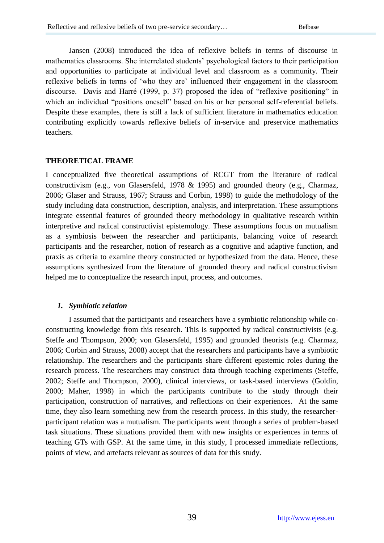Jansen (2008) introduced the idea of reflexive beliefs in terms of discourse in mathematics classrooms. She interrelated students" psychological factors to their participation and opportunities to participate at individual level and classroom as a community. Their reflexive beliefs in terms of "who they are" influenced their engagement in the classroom discourse. Davis and Harré (1999, p. 37) proposed the idea of "reflexive positioning" in which an individual "positions oneself" based on his or her personal self-referential beliefs. Despite these examples, there is still a lack of sufficient literature in mathematics education contributing explicitly towards reflexive beliefs of in-service and preservice mathematics teachers.

#### **THEORETICAL FRAME**

I conceptualized five theoretical assumptions of RCGT from the literature of radical constructivism (e.g., von Glasersfeld, 1978 & 1995) and grounded theory (e.g., Charmaz, 2006; Glaser and Strauss, 1967; Strauss and Corbin, 1998) to guide the methodology of the study including data construction, description, analysis, and interpretation. These assumptions integrate essential features of grounded theory methodology in qualitative research within interpretive and radical constructivist epistemology. These assumptions focus on mutualism as a symbiosis between the researcher and participants, balancing voice of research participants and the researcher, notion of research as a cognitive and adaptive function, and praxis as criteria to examine theory constructed or hypothesized from the data. Hence, these assumptions synthesized from the literature of grounded theory and radical constructivism helped me to conceptualize the research input, process, and outcomes.

#### *1. Symbiotic relation*

I assumed that the participants and researchers have a symbiotic relationship while coconstructing knowledge from this research. This is supported by radical constructivists (e.g. Steffe and Thompson, 2000; von Glasersfeld, 1995) and grounded theorists (e.g. Charmaz, 2006; Corbin and Strauss, 2008) accept that the researchers and participants have a symbiotic relationship. The researchers and the participants share different epistemic roles during the research process. The researchers may construct data through teaching experiments (Steffe, 2002; Steffe and Thompson, 2000), clinical interviews, or task-based interviews (Goldin, 2000; Maher, 1998) in which the participants contribute to the study through their participation, construction of narratives, and reflections on their experiences. At the same time, they also learn something new from the research process. In this study, the researcherparticipant relation was a mutualism. The participants went through a series of problem-based task situations. These situations provided them with new insights or experiences in terms of teaching GTs with GSP. At the same time, in this study, I processed immediate reflections, points of view, and artefacts relevant as sources of data for this study.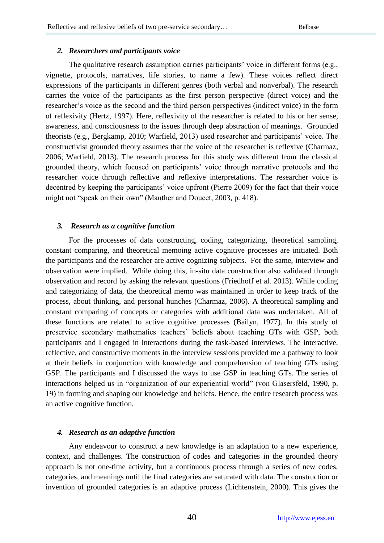#### *2. Researchers and participants voice*

The qualitative research assumption carries participants' voice in different forms (e.g., vignette, protocols, narratives, life stories, to name a few). These voices reflect direct expressions of the participants in different genres (both verbal and nonverbal). The research carries the voice of the participants as the first person perspective (direct voice) and the researcher"s voice as the second and the third person perspectives (indirect voice) in the form of reflexivity (Hertz, 1997). Here, reflexivity of the researcher is related to his or her sense, awareness, and consciousness to the issues through deep abstraction of meanings. Grounded theorists (e.g., Bergkamp, 2010; Warfield, 2013) used researcher and participants' voice. The constructivist grounded theory assumes that the voice of the researcher is reflexive (Charmaz, 2006; Warfield, 2013). The research process for this study was different from the classical grounded theory, which focused on participants" voice through narrative protocols and the researcher voice through reflective and reflexive interpretations. The researcher voice is decentred by keeping the participants' voice upfront (Pierre 2009) for the fact that their voice might not "speak on their own" (Mauther and Doucet, 2003, p. 418).

## *3. Research as a cognitive function*

For the processes of data constructing, coding, categorizing, theoretical sampling, constant comparing, and theoretical memoing active cognitive processes are initiated. Both the participants and the researcher are active cognizing subjects. For the same, interview and observation were implied. While doing this, in-situ data construction also validated through observation and record by asking the relevant questions (Friedhoff et al. 2013). While coding and categorizing of data, the theoretical memo was maintained in order to keep track of the process, about thinking, and personal hunches (Charmaz, 2006). A theoretical sampling and constant comparing of concepts or categories with additional data was undertaken. All of these functions are related to active cognitive processes (Bailyn, 1977). In this study of preservice secondary mathematics teachers" beliefs about teaching GTs with GSP, both participants and I engaged in interactions during the task-based interviews. The interactive, reflective, and constructive moments in the interview sessions provided me a pathway to look at their beliefs in conjunction with knowledge and comprehension of teaching GTs using GSP. The participants and I discussed the ways to use GSP in teaching GTs. The series of interactions helped us in "organization of our experiential world" (von Glasersfeld, 1990, p. 19) in forming and shaping our knowledge and beliefs. Hence, the entire research process was an active cognitive function.

## *4. Research as an adaptive function*

Any endeavour to construct a new knowledge is an adaptation to a new experience, context, and challenges. The construction of codes and categories in the grounded theory approach is not one-time activity, but a continuous process through a series of new codes, categories, and meanings until the final categories are saturated with data. The construction or invention of grounded categories is an adaptive process (Lichtenstein, 2000). This gives the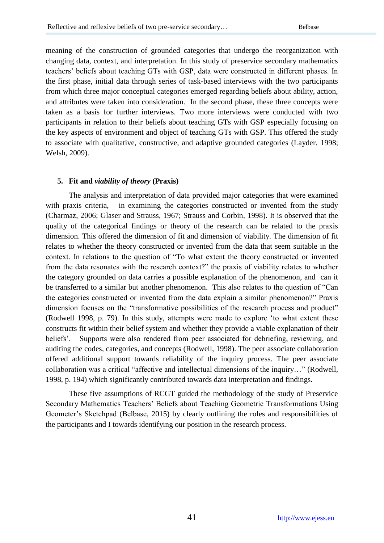meaning of the construction of grounded categories that undergo the reorganization with changing data, context, and interpretation. In this study of preservice secondary mathematics teachers" beliefs about teaching GTs with GSP, data were constructed in different phases. In the first phase, initial data through series of task-based interviews with the two participants from which three major conceptual categories emerged regarding beliefs about ability, action, and attributes were taken into consideration. In the second phase, these three concepts were taken as a basis for further interviews. Two more interviews were conducted with two participants in relation to their beliefs about teaching GTs with GSP especially focusing on the key aspects of environment and object of teaching GTs with GSP. This offered the study to associate with qualitative, constructive, and adaptive grounded categories (Layder, 1998; Welsh, 2009).

#### **5. Fit and** *viability of theory* **(Praxis)**

The analysis and interpretation of data provided major categories that were examined with praxis criteria, in examining the categories constructed or invented from the study (Charmaz, 2006; Glaser and Strauss, 1967; Strauss and Corbin, 1998). It is observed that the quality of the categorical findings or theory of the research can be related to the praxis dimension. This offered the dimension of fit and dimension of viability. The dimension of fit relates to whether the theory constructed or invented from the data that seem suitable in the context. In relations to the question of "To what extent the theory constructed or invented from the data resonates with the research context?" the praxis of viability relates to whether the category grounded on data carries a possible explanation of the phenomenon, and can it be transferred to a similar but another phenomenon. This also relates to the question of "Can the categories constructed or invented from the data explain a similar phenomenon?" Praxis dimension focuses on the "transformative possibilities of the research process and product" (Rodwell 1998, p. 79). In this study, attempts were made to explore "to what extent these constructs fit within their belief system and whether they provide a viable explanation of their beliefs'. Supports were also rendered from peer associated for debriefing, reviewing, and auditing the codes, categories, and concepts (Rodwell, 1998). The peer associate collaboration offered additional support towards reliability of the inquiry process. The peer associate collaboration was a critical "affective and intellectual dimensions of the inquiry…" (Rodwell, 1998, p. 194) which significantly contributed towards data interpretation and findings.

These five assumptions of RCGT guided the methodology of the study of Preservice Secondary Mathematics Teachers" Beliefs about Teaching Geometric Transformations Using Geometer"s Sketchpad (Belbase, 2015) by clearly outlining the roles and responsibilities of the participants and I towards identifying our position in the research process.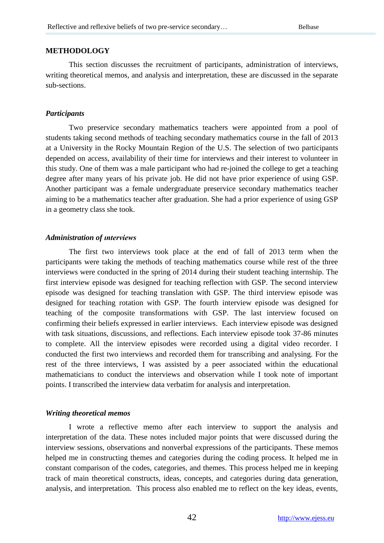#### **METHODOLOGY**

This section discusses the recruitment of participants, administration of interviews, writing theoretical memos, and analysis and interpretation, these are discussed in the separate sub-sections.

#### *Participants*

Two preservice secondary mathematics teachers were appointed from a pool of students taking second methods of teaching secondary mathematics course in the fall of 2013 at a University in the Rocky Mountain Region of the U.S. The selection of two participants depended on access, availability of their time for interviews and their interest to volunteer in this study. One of them was a male participant who had re-joined the college to get a teaching degree after many years of his private job. He did not have prior experience of using GSP. Another participant was a female undergraduate preservice secondary mathematics teacher aiming to be a mathematics teacher after graduation. She had a prior experience of using GSP in a geometry class she took.

#### *Administration of ınterviews*

The first two interviews took place at the end of fall of 2013 term when the participants were taking the methods of teaching mathematics course while rest of the three interviews were conducted in the spring of 2014 during their student teaching internship. The first interview episode was designed for teaching reflection with GSP. The second interview episode was designed for teaching translation with GSP. The third interview episode was designed for teaching rotation with GSP. The fourth interview episode was designed for teaching of the composite transformations with GSP. The last interview focused on confirming their beliefs expressed in earlier interviews. Each interview episode was designed with task situations, discussions, and reflections. Each interview episode took 37-86 minutes to complete. All the interview episodes were recorded using a digital video recorder. I conducted the first two interviews and recorded them for transcribing and analysing. For the rest of the three interviews, I was assisted by a peer associated within the educational mathematicians to conduct the interviews and observation while I took note of important points. I transcribed the interview data verbatim for analysis and interpretation.

#### *Writing theoretical memos*

I wrote a reflective memo after each interview to support the analysis and interpretation of the data. These notes included major points that were discussed during the interview sessions, observations and nonverbal expressions of the participants. These memos helped me in constructing themes and categories during the coding process. It helped me in constant comparison of the codes, categories, and themes. This process helped me in keeping track of main theoretical constructs, ideas, concepts, and categories during data generation, analysis, and interpretation. This process also enabled me to reflect on the key ideas, events,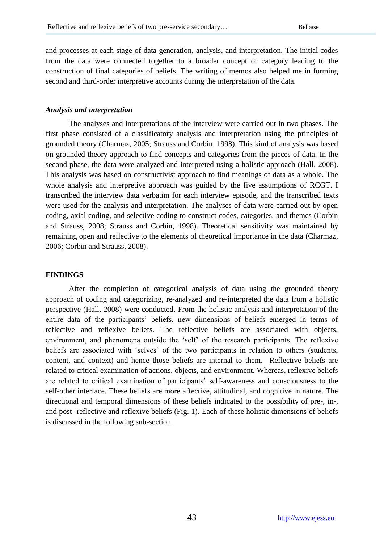and processes at each stage of data generation, analysis, and interpretation. The initial codes from the data were connected together to a broader concept or category leading to the construction of final categories of beliefs. The writing of memos also helped me in forming second and third-order interpretive accounts during the interpretation of the data.

#### *Analysis and ınterpretation*

The analyses and interpretations of the interview were carried out in two phases. The first phase consisted of a classificatory analysis and interpretation using the principles of grounded theory (Charmaz, 2005; Strauss and Corbin, 1998). This kind of analysis was based on grounded theory approach to find concepts and categories from the pieces of data. In the second phase, the data were analyzed and interpreted using a holistic approach (Hall, 2008). This analysis was based on constructivist approach to find meanings of data as a whole. The whole analysis and interpretive approach was guided by the five assumptions of RCGT. I transcribed the interview data verbatim for each interview episode, and the transcribed texts were used for the analysis and interpretation. The analyses of data were carried out by open coding, axial coding, and selective coding to construct codes, categories, and themes (Corbin and Strauss, 2008; Strauss and Corbin, 1998). Theoretical sensitivity was maintained by remaining open and reflective to the elements of theoretical importance in the data (Charmaz, 2006; Corbin and Strauss, 2008).

## **FINDINGS**

After the completion of categorical analysis of data using the grounded theory approach of coding and categorizing, re-analyzed and re-interpreted the data from a holistic perspective (Hall, 2008) were conducted. From the holistic analysis and interpretation of the entire data of the participants" beliefs, new dimensions of beliefs emerged in terms of reflective and reflexive beliefs. The reflective beliefs are associated with objects, environment, and phenomena outside the "self" of the research participants. The reflexive beliefs are associated with 'selves' of the two participants in relation to others (students, content, and context) and hence those beliefs are internal to them. Reflective beliefs are related to critical examination of actions, objects, and environment. Whereas, reflexive beliefs are related to critical examination of participants' self-awareness and consciousness to the self-other interface. These beliefs are more affective, attitudinal, and cognitive in nature. The directional and temporal dimensions of these beliefs indicated to the possibility of pre-, in-, and post- reflective and reflexive beliefs (Fig. 1). Each of these holistic dimensions of beliefs is discussed in the following sub-section.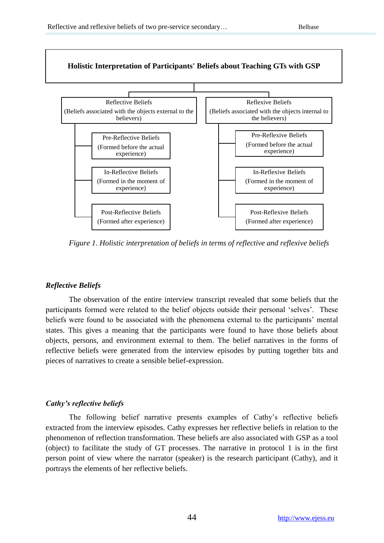

*Figure 1. Holistic interpretation of beliefs in terms of reflective and reflexive beliefs*

#### *Reflective Beliefs*

The observation of the entire interview transcript revealed that some beliefs that the participants formed were related to the belief objects outside their personal "selves". These beliefs were found to be associated with the phenomena external to the participants" mental states. This gives a meaning that the participants were found to have those beliefs about objects, persons, and environment external to them. The belief narratives in the forms of reflective beliefs were generated from the interview episodes by putting together bits and pieces of narratives to create a sensible belief-expression.

## *Cathy's reflective beliefs*

The following belief narrative presents examples of Cathy"s reflective beliefs extracted from the interview episodes. Cathy expresses her reflective beliefs in relation to the phenomenon of reflection transformation. These beliefs are also associated with GSP as a tool (object) to facilitate the study of GT processes. The narrative in protocol 1 is in the first person point of view where the narrator (speaker) is the research participant (Cathy), and it portrays the elements of her reflective beliefs.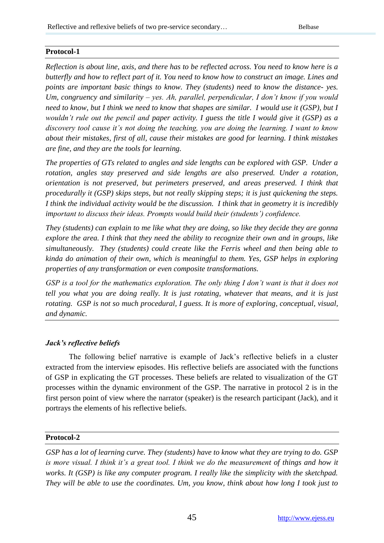# **Protocol-1**

*Reflection is about line, axis, and there has to be reflected across. You need to know here is a butterfly and how to reflect part of it. You need to know how to construct an image. Lines and points are important basic things to know. They (students) need to know the distance- yes. Um, congruency and similarity – yes. Ah, parallel, perpendicular, I don't know if you would need to know, but I think we need to know that shapes are similar. I would use it (GSP), but I wouldn't rule out the pencil and paper activity. I guess the title I would give it (GSP) as a discovery tool cause it's not doing the teaching, you are doing the learning. I want to know about their mistakes, first of all, cause their mistakes are good for learning. I think mistakes are fine, and they are the tools for learning.*

*The properties of GTs related to angles and side lengths can be explored with GSP. Under a rotation, angles stay preserved and side lengths are also preserved. Under a rotation, orientation is not preserved, but perimeters preserved, and areas preserved. I think that procedurally it (GSP) skips steps, but not really skipping steps; it is just quickening the steps. I think the individual activity would be the discussion. I think that in geometry it is incredibly important to discuss their ideas. Prompts would build their (students') confidence.*

*They (students) can explain to me like what they are doing, so like they decide they are gonna explore the area. I think that they need the ability to recognize their own and in groups, like simultaneously. They (students) could create like the Ferris wheel and then being able to kinda do animation of their own, which is meaningful to them. Yes, GSP helps in exploring properties of any transformation or even composite transformations.*

*GSP is a tool for the mathematics exploration. The only thing I don't want is that it does not tell you what you are doing really. It is just rotating, whatever that means, and it is just rotating. GSP is not so much procedural, I guess. It is more of exploring, conceptual, visual, and dynamic.*

# *Jack's reflective beliefs*

The following belief narrative is example of Jack"s reflective beliefs in a cluster extracted from the interview episodes. His reflective beliefs are associated with the functions of GSP in explicating the GT processes. These beliefs are related to visualization of the GT processes within the dynamic environment of the GSP. The narrative in protocol 2 is in the first person point of view where the narrator (speaker) is the research participant (Jack), and it portrays the elements of his reflective beliefs.

## **Protocol-2**

*GSP has a lot of learning curve. They (students) have to know what they are trying to do. GSP*  is more visual. I think it's a great tool. I think we do the measurement of things and how it *works. It (GSP) is like any computer program. I really like the simplicity with the sketchpad. They will be able to use the coordinates. Um, you know, think about how long I took just to*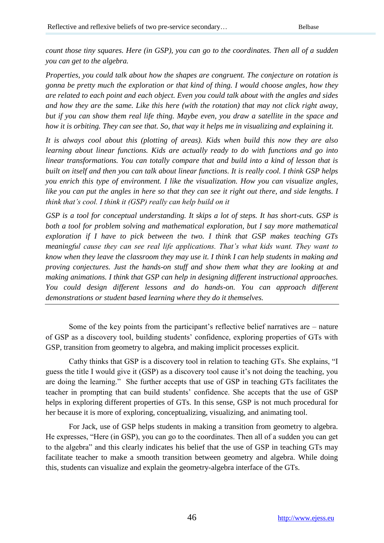*count those tiny squares. Here (in GSP), you can go to the coordinates. Then all of a sudden you can get to the algebra.*

*Properties, you could talk about how the shapes are congruent. The conjecture on rotation is gonna be pretty much the exploration or that kind of thing. I would choose angles, how they are related to each point and each object. Even you could talk about with the angles and sides and how they are the same. Like this here (with the rotation) that may not click right away, but if you can show them real life thing. Maybe even, you draw a satellite in the space and how it is orbiting. They can see that. So, that way it helps me in visualizing and explaining it.*

*It is always cool about this (plotting of areas). Kids when build this now they are also learning about linear functions. Kids are actually ready to do with functions and go into linear transformations. You can totally compare that and build into a kind of lesson that is built on itself and then you can talk about linear functions. It is really cool. I think GSP helps you enrich this type of environment. I like the visualization. How you can visualize angles, like you can put the angles in here so that they can see it right out there, and side lengths. I think that's cool. I think it (GSP) really can help build on it*

*GSP is a tool for conceptual understanding. It skips a lot of steps. It has short-cuts. GSP is both a tool for problem solving and mathematical exploration, but I say more mathematical exploration if I have to pick between the two. I think that GSP makes teaching GTs meaningful cause they can see real life applications. That's what kids want. They want to know when they leave the classroom they may use it. I think I can help students in making and proving conjectures. Just the hands-on stuff and show them what they are looking at and making animations. I think that GSP can help in designing different instructional approaches. You could design different lessons and do hands-on. You can approach different demonstrations or student based learning where they do it themselves.*

Some of the key points from the participant"s reflective belief narratives are – nature of GSP as a discovery tool, building students" confidence, exploring properties of GTs with GSP, transition from geometry to algebra, and making implicit processes explicit.

Cathy thinks that GSP is a discovery tool in relation to teaching GTs. She explains, "I guess the title I would give it (GSP) as a discovery tool cause it's not doing the teaching, you are doing the learning." She further accepts that use of GSP in teaching GTs facilitates the teacher in prompting that can build students" confidence. She accepts that the use of GSP helps in exploring different properties of GTs. In this sense, GSP is not much procedural for her because it is more of exploring, conceptualizing, visualizing, and animating tool.

For Jack, use of GSP helps students in making a transition from geometry to algebra. He expresses, "Here (in GSP), you can go to the coordinates. Then all of a sudden you can get to the algebra" and this clearly indicates his belief that the use of GSP in teaching GTs may facilitate teacher to make a smooth transition between geometry and algebra. While doing this, students can visualize and explain the geometry-algebra interface of the GTs.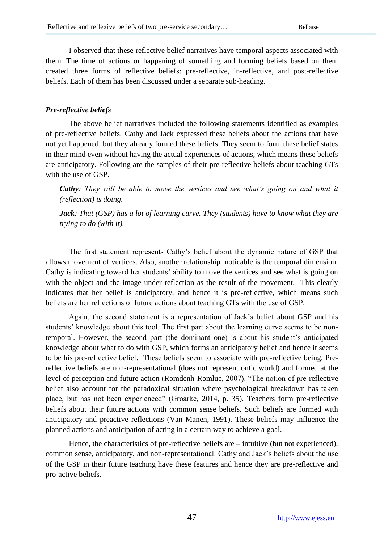I observed that these reflective belief narratives have temporal aspects associated with them. The time of actions or happening of something and forming beliefs based on them created three forms of reflective beliefs: pre-reflective, in-reflective, and post-reflective beliefs. Each of them has been discussed under a separate sub-heading.

## *Pre-reflective beliefs*

The above belief narratives included the following statements identified as examples of pre-reflective beliefs. Cathy and Jack expressed these beliefs about the actions that have not yet happened, but they already formed these beliefs. They seem to form these belief states in their mind even without having the actual experiences of actions, which means these beliefs are anticipatory. Following are the samples of their pre-reflective beliefs about teaching GTs with the use of GSP.

*Cathy: They will be able to move the vertices and see what's going on and what it (reflection) is doing.*

*Jack: That (GSP) has a lot of learning curve. They (students) have to know what they are trying to do (with it).*

The first statement represents Cathy"s belief about the dynamic nature of GSP that allows movement of vertices. Also, another relationship noticable is the temporal dimension. Cathy is indicating toward her students' ability to move the vertices and see what is going on with the object and the image under reflection as the result of the movement. This clearly indicates that her belief is anticipatory, and hence it is pre-reflective, which means such beliefs are her reflections of future actions about teaching GTs with the use of GSP.

Again, the second statement is a representation of Jack"s belief about GSP and his students' knowledge about this tool. The first part about the learning curve seems to be nontemporal. However, the second part (the dominant one) is about his student"s anticipated knowledge about what to do with GSP, which forms an anticipatory belief and hence it seems to be his pre-reflective belief. These beliefs seem to associate with pre-reflective being. Prereflective beliefs are non-representational (does not represent ontic world) and formed at the level of perception and future action (Romdenh-Romluc, 2007). "The notion of pre-reflective belief also account for the paradoxical situation where psychological breakdown has taken place, but has not been experienced" (Groarke, 2014, p. 35). Teachers form pre-reflective beliefs about their future actions with common sense beliefs. Such beliefs are formed with anticipatory and preactive reflections (Van Manen, 1991). These beliefs may influence the planned actions and anticipation of acting in a certain way to achieve a goal.

Hence, the characteristics of pre-reflective beliefs are – intuitive (but not experienced), common sense, anticipatory, and non-representational. Cathy and Jack"s beliefs about the use of the GSP in their future teaching have these features and hence they are pre-reflective and pro-active beliefs.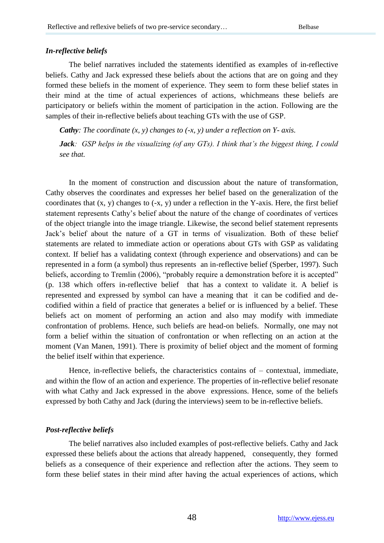#### *In-reflective beliefs*

The belief narratives included the statements identified as examples of in-reflective beliefs. Cathy and Jack expressed these beliefs about the actions that are on going and they formed these beliefs in the moment of experience. They seem to form these belief states in their mind at the time of actual experiences of actions, whichmeans these beliefs are participatory or beliefs within the moment of participation in the action. Following are the samples of their in-reflective beliefs about teaching GTs with the use of GSP.

*Cathy: The coordinate (x, y) changes to (-x, y) under a reflection on Y- axis.*

*Jack: GSP helps in the visualizing (of any GTs). I think that's the biggest thing, I could see that.*

In the moment of construction and discussion about the nature of transformation, Cathy observes the coordinates and expresses her belief based on the generalization of the coordinates that (x, y) changes to (-x, y) under a reflection in the Y-axis. Here, the first belief statement represents Cathy"s belief about the nature of the change of coordinates of vertices of the object triangle into the image triangle. Likewise, the second belief statement represents Jack"s belief about the nature of a GT in terms of visualization. Both of these belief statements are related to immediate action or operations about GTs with GSP as validating context. If belief has a validating context (through experience and observations) and can be represented in a form (a symbol) thus represents an in-reflective belief (Sperber, 1997). Such beliefs, according to Tremlin (2006), "probably require a demonstration before it is accepted" (p. 138 which offers in-reflective belief that has a context to validate it. A belief is represented and expressed by symbol can have a meaning that it can be codified and decodified within a field of practice that generates a belief or is influenced by a belief. These beliefs act on moment of performing an action and also may modify with immediate confrontation of problems. Hence, such beliefs are head-on beliefs. Normally, one may not form a belief within the situation of confrontation or when reflecting on an action at the moment (Van Manen, 1991). There is proximity of belief object and the moment of forming the belief itself within that experience.

Hence, in-reflective beliefs, the characteristics contains of  $-$  contextual, immediate, and within the flow of an action and experience. The properties of in-reflective belief resonate with what Cathy and Jack expressed in the above expressions. Hence, some of the beliefs expressed by both Cathy and Jack (during the interviews) seem to be in-reflective beliefs.

#### *Post-reflective beliefs*

The belief narratives also included examples of post-reflective beliefs. Cathy and Jack expressed these beliefs about the actions that already happened, consequently, they formed beliefs as a consequence of their experience and reflection after the actions. They seem to form these belief states in their mind after having the actual experiences of actions, which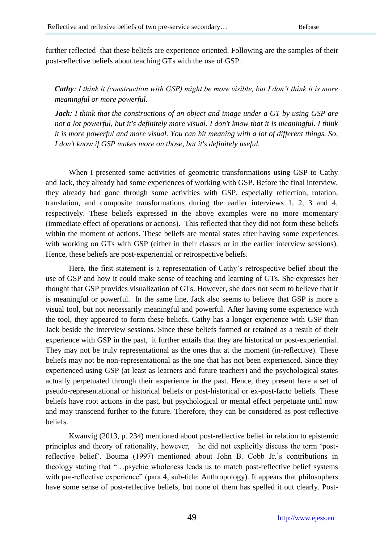further reflected that these beliefs are experience oriented. Following are the samples of their post-reflective beliefs about teaching GTs with the use of GSP.

*Cathy: I think it (construction with GSP) might be more visible, but I don't think it is more meaningful or more powerful.*

*Jack: I think that the constructions of an object and image under a GT by using GSP are not a lot powerful, but it's definitely more visual. I don't know that it is meaningful. I think it is more powerful and more visual. You can hit meaning with a lot of different things. So, I don't know if GSP makes more on those, but it's definitely useful.*

When I presented some activities of geometric transformations using GSP to Cathy and Jack, they already had some experiences of working with GSP. Before the final interview, they already had gone through some activities with GSP, especially reflection, rotation, translation, and composite transformations during the earlier interviews 1, 2, 3 and 4, respectively. These beliefs expressed in the above examples were no more momentary (immediate effect of operations or actions). This reflected that they did not form these beliefs within the moment of actions. These beliefs are mental states after having some experiences with working on GTs with GSP (either in their classes or in the earlier interview sessions). Hence, these beliefs are post-experiential or retrospective beliefs.

Here, the first statement is a representation of Cathy"s retrospective belief about the use of GSP and how it could make sense of teaching and learning of GTs. She expresses her thought that GSP provides visualization of GTs. However, she does not seem to believe that it is meaningful or powerful. In the same line, Jack also seems to believe that GSP is more a visual tool, but not necessarily meaningful and powerful. After having some experience with the tool, they appeared to form these beliefs. Cathy has a longer experience with GSP than Jack beside the interview sessions. Since these beliefs formed or retained as a result of their experience with GSP in the past, it further entails that they are historical or post-experiential. They may not be truly representational as the ones that at the moment (in-reflective). These beliefs may not be non-representational as the one that has not been experienced. Since they experienced using GSP (at least as learners and future teachers) and the psychological states actually perpetuated through their experience in the past. Hence, they present here a set of pseudo-representational or historical beliefs or post-historical or ex-post-facto beliefs. These beliefs have root actions in the past, but psychological or mental effect perpetuate until now and may transcend further to the future. Therefore, they can be considered as post-reflective beliefs.

Kwanvig (2013, p. 234) mentioned about post-reflective belief in relation to epistemic principles and theory of rationality, however, he did not explicitly discuss the term "postreflective belief". Bouma (1997) mentioned about John B. Cobb Jr."s contributions in theology stating that "…psychic wholeness leads us to match post-reflective belief systems with pre-reflective experience" (para 4, sub-title: Anthropology). It appears that philosophers have some sense of post-reflective beliefs, but none of them has spelled it out clearly. Post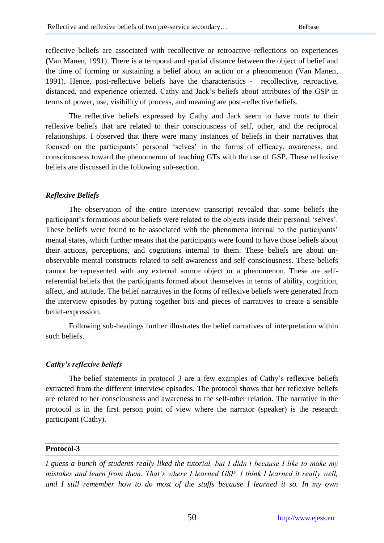reflective beliefs are associated with recollective or retroactive reflections on experiences (Van Manen, 1991). There is a temporal and spatial distance between the object of belief and the time of forming or sustaining a belief about an action or a phenomenon (Van Manen, 1991). Hence, post-reflective beliefs have the characteristics - recollective, retroactive, distanced, and experience oriented. Cathy and Jack"s beliefs about attributes of the GSP in terms of power, use, visibility of process, and meaning are post-reflective beliefs.

The reflective beliefs expressed by Cathy and Jack seem to have roots to their reflexive beliefs that are related to their consciousness of self, other, and the reciprocal relationships. I observed that there were many instances of beliefs in their narratives that focused on the participants' personal 'selves' in the forms of efficacy, awareness, and consciousness toward the phenomenon of teaching GTs with the use of GSP. These reflexive beliefs are discussed in the following sub-section.

## *Reflexive Beliefs*

The observation of the entire interview transcript revealed that some beliefs the participant's formations about beliefs were related to the objects inside their personal 'selves'. These beliefs were found to be associated with the phenomena internal to the participants' mental states, which further means that the participants were found to have those beliefs about their actions, perceptions, and cognitions internal to them. These beliefs are about unobservable mental constructs related to self-awareness and self-consciousness. These beliefs cannot be represented with any external source object or a phenomenon. These are selfreferential beliefs that the participants formed about themselves in terms of ability, cognition, affect, and attitude. The belief narratives in the forms of reflexive beliefs were generated from the interview episodes by putting together bits and pieces of narratives to create a sensible belief-expression.

Following sub-headings further illustrates the belief narratives of interpretation within such beliefs.

## *Cathy's reflexive beliefs*

The belief statements in protocol 3 are a few examples of Cathy"s reflexive beliefs extracted from the different interview episodes. The protocol shows that her reflexive beliefs are related to her consciousness and awareness to the self-other relation. The narrative in the protocol is in the first person point of view where the narrator (speaker) is the research participant (Cathy).

## **Protocol-3**

*I guess a bunch of students really liked the tutorial, but I didn't because I like to make my mistakes and learn from them. That's where I learned GSP. I think I learned it really well, and I still remember how to do most of the stuffs because I learned it so. In my own*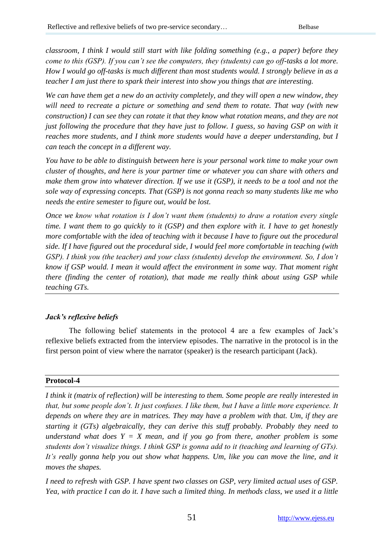*classroom, I think I would still start with like folding something (e.g., a paper) before they come to this (GSP). If you can't see the computers, they (students) can go off-tasks a lot more. How I would go off-tasks is much different than most students would. I strongly believe in as a teacher I am just there to spark their interest into show you things that are interesting.*

*We can have them get a new do an activity completely, and they will open a new window, they will need to recreate a picture or something and send them to rotate. That way (with new construction) I can see they can rotate it that they know what rotation means, and they are not just following the procedure that they have just to follow. I guess, so having GSP on with it reaches more students, and I think more students would have a deeper understanding, but I can teach the concept in a different way.*

*You have to be able to distinguish between here is your personal work time to make your own cluster of thoughts, and here is your partner time or whatever you can share with others and make them grow into whatever direction. If we use it (GSP), it needs to be a tool and not the sole way of expressing concepts. That (GSP) is not gonna reach so many students like me who needs the entire semester to figure out, would be lost.*

*Once we know what rotation is I don't want them (students) to draw a rotation every single time. I want them to go quickly to it (GSP) and then explore with it. I have to get honestly more comfortable with the idea of teaching with it because I have to figure out the procedural side. If I have figured out the procedural side, I would feel more comfortable in teaching (with GSP). I think you (the teacher) and your class (students) develop the environment. So, I don't know if GSP would. I mean it would affect the environment in some way. That moment right there (finding the center of rotation), that made me really think about using GSP while teaching GTs.*

# *Jack's reflexive beliefs*

The following belief statements in the protocol 4 are a few examples of Jack"s reflexive beliefs extracted from the interview episodes. The narrative in the protocol is in the first person point of view where the narrator (speaker) is the research participant (Jack).

# **Protocol-4**

*I think it (matrix of reflection) will be interesting to them. Some people are really interested in that, but some people don't. It just confuses. I like them, but I have a little more experience. It depends on where they are in matrices. They may have a problem with that. Um, if they are starting it (GTs) algebraically, they can derive this stuff probably. Probably they need to understand what does*  $Y = X$  *mean, and if you go from there, another problem is some students don't visualize things. I think GSP is gonna add to it (teaching and learning of GTs). It's really gonna help you out show what happens. Um, like you can move the line, and it moves the shapes.*

*I need to refresh with GSP. I have spent two classes on GSP, very limited actual uses of GSP. Yea, with practice I can do it. I have such a limited thing. In methods class, we used it a little*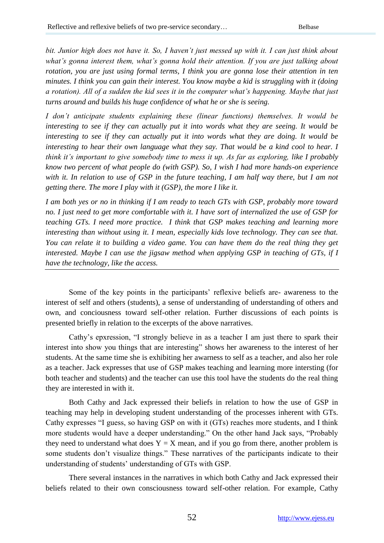*bit. Junior high does not have it. So, I haven't just messed up with it. I can just think about what's gonna interest them, what's gonna hold their attention. If you are just talking about rotation, you are just using formal terms, I think you are gonna lose their attention in ten minutes. I think you can gain their interest. You know maybe a kid is struggling with it (doing a rotation). All of a sudden the kid sees it in the computer what's happening. Maybe that just turns around and builds his huge confidence of what he or she is seeing.*

*I don't anticipate students explaining these (linear functions) themselves. It would be interesting to see if they can actually put it into words what they are seeing. It would be interesting to see if they can actually put it into words what they are doing. It would be interesting to hear their own language what they say. That would be a kind cool to hear. I think it's important to give somebody time to mess it up. As far as exploring, like I probably know two percent of what people do (with GSP). So, I wish I had more hands-on experience*  with it. In relation to use of GSP in the future teaching, I am half way there, but I am not *getting there. The more I play with it (GSP), the more I like it.*

*I am both yes or no in thinking if I am ready to teach GTs with GSP, probably more toward no. I just need to get more comfortable with it. I have sort of internalized the use of GSP for teaching GTs. I need more practice. I think that GSP makes teaching and learning more interesting than without using it. I mean, especially kids love technology. They can see that. You can relate it to building a video game. You can have them do the real thing they get interested. Maybe I can use the jigsaw method when applying GSP in teaching of GTs, if I have the technology, like the access.*

Some of the key points in the participants' reflexive beliefs are- awareness to the interest of self and others (students), a sense of understanding of understanding of others and own, and conciousness toward self-other relation. Further discussions of each points is presented briefly in relation to the excerpts of the above narratives.

Cathy"s epxression, "I strongly believe in as a teacher I am just there to spark their interest into show you things that are interesting" shows her awareness to the interest of her students. At the same time she is exhibiting her awarness to self as a teacher, and also her role as a teacher. Jack expresses that use of GSP makes teaching and learning more intersting (for both teacher and students) and the teacher can use this tool have the students do the real thing they are interested in with it.

Both Cathy and Jack expressed their beliefs in relation to how the use of GSP in teaching may help in developing student understanding of the processes inherent with GTs. Cathy expresses "I guess, so having GSP on with it (GTs) reaches more students, and I think more students would have a deeper understanding." On the other hand Jack says, "Probably they need to understand what does  $Y = X$  mean, and if you go from there, another problem is some students don"t visualize things." These narratives of the participants indicate to their understanding of students" understanding of GTs with GSP.

There several instances in the narratives in which both Cathy and Jack expressed their beliefs related to their own consciousness toward self-other relation. For example, Cathy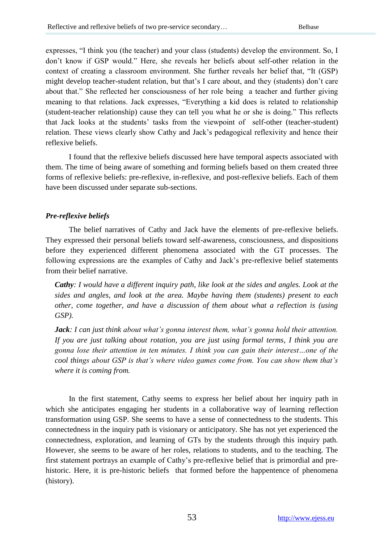expresses, "I think you (the teacher) and your class (students) develop the environment. So, I don"t know if GSP would." Here, she reveals her beliefs about self-other relation in the context of creating a classroom environment. She further reveals her belief that, "It (GSP) might develop teacher-student relation, but that"s I care about, and they (students) don"t care about that." She reflected her consciousness of her role being a teacher and further giving meaning to that relations. Jack expresses, "Everything a kid does is related to relationship (student-teacher relationship) cause they can tell you what he or she is doing." This reflects that Jack looks at the students" tasks from the viewpoint of self-other (teacher-student) relation. These views clearly show Cathy and Jack"s pedagogical reflexivity and hence their reflexive beliefs.

I found that the reflexive beliefs discussed here have temporal aspects associated with them. The time of being aware of something and forming beliefs based on them created three forms of reflexive beliefs: pre-reflexive, in-reflexive, and post-reflexive beliefs. Each of them have been discussed under separate sub-sections.

## *Pre-reflexive beliefs*

The belief narratives of Cathy and Jack have the elements of pre-reflexive beliefs. They expressed their personal beliefs toward self-awareness, consciousness, and dispositions before they experienced different phenomena associated with the GT processes. The following expressions are the examples of Cathy and Jack"s pre-reflexive belief statements from their belief narrative.

*Cathy: I would have a different inquiry path, like look at the sides and angles. Look at the sides and angles, and look at the area. Maybe having them (students) present to each other, come together, and have a discussion of them about what a reflection is (using GSP).*

*Jack: I can just think about what's gonna interest them, what's gonna hold their attention. If you are just talking about rotation, you are just using formal terms, I think you are gonna lose their attention in ten minutes. I think you can gain their interest…one of the cool things about GSP is that's where video games come from. You can show them that's where it is coming from.*

In the first statement, Cathy seems to express her belief about her inquiry path in which she anticipates engaging her students in a collaborative way of learning reflection transformation using GSP. She seems to have a sense of connectedness to the students. This connectedness in the inquiry path is visionary or anticipatory. She has not yet experienced the connectedness, exploration, and learning of GTs by the students through this inquiry path. However, she seems to be aware of her roles, relations to students, and to the teaching. The first statement portrays an example of Cathy"s pre-reflexive belief that is primordial and prehistoric. Here, it is pre-historic beliefs that formed before the happentence of phenomena (history).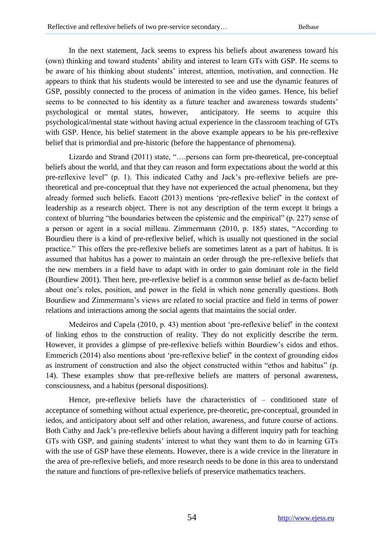In the next statement, Jack seems to express his beliefs about awareness toward his (own) thinking and toward students" ability and interest to learn GTs with GSP. He seems to be aware of his thinking about students' interest, attention, motivation, and connection. He appears to think that his students would be interested to see and use the dynamic features of GSP, possibly connected to the process of animation in the video games. Hence, his belief seems to be connected to his identity as a future teacher and awareness towards students' psychological or mental states, however, anticipatory. He seems to acquire this psychological/mental state without having actual experience in the classroom teaching of GTs with GSP. Hence, his belief statement in the above example appears to be his pre-reflexive belief that is primordial and pre-historic (before the happentance of phenomena).

Lizardo and Strand (2011) state, "….persons can form pre-theoretical, pre-conceptual beliefs about the world, and that they can reason and form expectations about the world at this pre-reflexive level" (p. 1). This indicated Cathy and Jack"s pre-reflexive beliefs are pretheoretical and pre-conceptual that they have not experienced the actual phenomena, but they already formed such beliefs. Eacott (2013) mentions "pre-reflexive belief" in the context of leadership as a research object. There is not any description of the term except it brings a context of blurring "the boundaries between the epistemic and the empirical" (p. 227) sense of a person or agent in a social milleau. Zimmermann (2010, p. 185) states, "According to Bourdieu there is a kind of pre-reflexive belief, which is usually not questioned in the social practice." This offers the pre-reflexive beliefs are sometimes latent as a part of habitus. It is assumed that habitus has a power to maintain an order through the pre-reflexive beliefs that the new members in a field have to adapt with in order to gain dominant role in the field (Bourdiew 2001). Then here, pre-reflexive belief is a common sense belief as de-facto belief about one"s roles, position, and power in the field in which none generally questions. Both Bourdiew and Zimmermann"s views are related to social practice and field in terms of power relations and interactions among the social agents that maintains the social order.

Medeiros and Capela (2010, p. 43) mention about "pre-reflexive belief" in the context of linking ethos to the construction of reality. They do not explicitly describe the term. However, it provides a glimpse of pre-reflexive beliefs within Bourdiew"s eidos and ethos. Emmerich (2014) also mentions about "pre-reflexive belief" in the context of grounding eidos as instrument of construction and also the object constructed within "ethos and habitus" (p. 14). These examples show that pre-reflexive beliefs are matters of personal awareness, consciousness, and a habitus (personal dispositions).

Hence, pre-reflexive beliefs have the characteristics of – conditioned state of acceptance of something without actual experience, pre-theoretic, pre-conceptual, grounded in iedos, and anticipatory about self and other relation, awareness, and future course of actions. Both Cathy and Jack"s pre-reflexive beliefs about having a different inquiry path for teaching GTs with GSP, and gaining students" interest to what they want them to do in learning GTs with the use of GSP have these elements. However, there is a wide crevice in the literature in the area of pre-reflexive beliefs, and more research needs to be done in this area to understand the nature and functions of pre-reflexive beliefs of preservice mathematics teachers.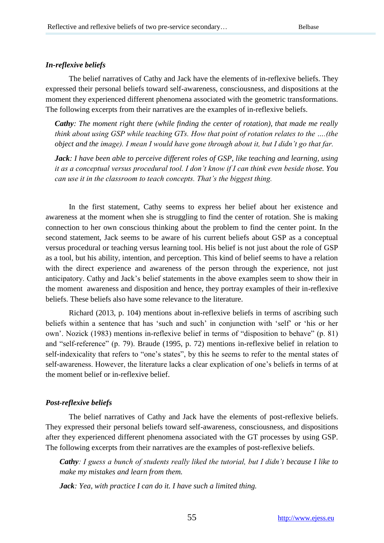#### *In-reflexive beliefs*

The belief narratives of Cathy and Jack have the elements of in-reflexive beliefs. They expressed their personal beliefs toward self-awareness, consciousness, and dispositions at the moment they experienced different phenomena associated with the geometric transformations. The following excerpts from their narratives are the examples of in-reflexive beliefs.

*Cathy: The moment right there (while finding the center of rotation), that made me really think about using GSP while teaching GTs. How that point of rotation relates to the ….(the object and the image). I mean I would have gone through about it, but I didn't go that far.*

*Jack: I have been able to perceive different roles of GSP, like teaching and learning, using it as a conceptual versus procedural tool. I don't know if I can think even beside those. You can use it in the classroom to teach concepts. That's the biggest thing.*

In the first statement, Cathy seems to express her belief about her existence and awareness at the moment when she is struggling to find the center of rotation. She is making connection to her own conscious thinking about the problem to find the center point. In the second statement, Jack seems to be aware of his current beliefs about GSP as a conceptual versus procedural or teaching versus learning tool. His belief is not just about the role of GSP as a tool, but his ability, intention, and perception. This kind of belief seems to have a relation with the direct experience and awareness of the person through the experience, not just anticipatory. Cathy and Jack"s belief statements in the above examples seem to show their in the moment awareness and disposition and hence, they portray examples of their in-reflexive beliefs. These beliefs also have some relevance to the literature.

Richard (2013, p. 104) mentions about in-reflexive beliefs in terms of ascribing such beliefs within a sentence that has "such and such" in conjunction with "self" or "his or her own". Nozick (1983) mentions in-reflexive belief in terms of "disposition to behave" (p. 81) and "self-reference" (p. 79). Braude (1995, p. 72) mentions in-reflexive belief in relation to self-indexicality that refers to "one's states", by this he seems to refer to the mental states of self-awareness. However, the literature lacks a clear explication of one"s beliefs in terms of at the moment belief or in-reflexive belief.

#### *Post-reflexive beliefs*

The belief narratives of Cathy and Jack have the elements of post-reflexive beliefs. They expressed their personal beliefs toward self-awareness, consciousness, and dispositions after they experienced different phenomena associated with the GT processes by using GSP. The following excerpts from their narratives are the examples of post-reflexive beliefs.

*Cathy: I guess a bunch of students really liked the tutorial, but I didn't because I like to make my mistakes and learn from them.*

*Jack: Yea, with practice I can do it. I have such a limited thing.*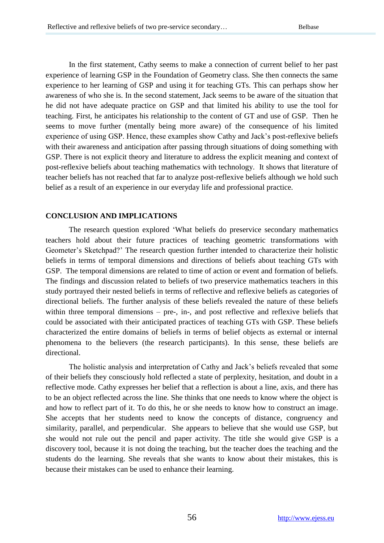In the first statement, Cathy seems to make a connection of current belief to her past experience of learning GSP in the Foundation of Geometry class. She then connects the same experience to her learning of GSP and using it for teaching GTs. This can perhaps show her awareness of who she is. In the second statement, Jack seems to be aware of the situation that he did not have adequate practice on GSP and that limited his ability to use the tool for teaching. First, he anticipates his relationship to the content of GT and use of GSP. Then he seems to move further (mentally being more aware) of the consequence of his limited experience of using GSP. Hence, these examples show Cathy and Jack"s post-reflexive beliefs with their awareness and anticipation after passing through situations of doing something with GSP. There is not explicit theory and literature to address the explicit meaning and context of post-reflexive beliefs about teaching mathematics with technology. It shows that literature of teacher beliefs has not reached that far to analyze post-reflexive beliefs although we hold such belief as a result of an experience in our everyday life and professional practice.

## **CONCLUSION AND IMPLICATIONS**

The research question explored "What beliefs do preservice secondary mathematics teachers hold about their future practices of teaching geometric transformations with Geometer's Sketchpad?' The research question further intended to characterize their holistic beliefs in terms of temporal dimensions and directions of beliefs about teaching GTs with GSP. The temporal dimensions are related to time of action or event and formation of beliefs. The findings and discussion related to beliefs of two preservice mathematics teachers in this study portrayed their nested beliefs in terms of reflective and reflexive beliefs as categories of directional beliefs. The further analysis of these beliefs revealed the nature of these beliefs within three temporal dimensions – pre-, in-, and post reflective and reflexive beliefs that could be associated with their anticipated practices of teaching GTs with GSP. These beliefs characterized the entire domains of beliefs in terms of belief objects as external or internal phenomena to the believers (the research participants). In this sense, these beliefs are directional.

The holistic analysis and interpretation of Cathy and Jack"s beliefs revealed that some of their beliefs they consciously hold reflected a state of perplexity, hesitation, and doubt in a reflective mode. Cathy expresses her belief that a reflection is about a line, axis, and there has to be an object reflected across the line. She thinks that one needs to know where the object is and how to reflect part of it. To do this, he or she needs to know how to construct an image. She accepts that her students need to know the concepts of distance, congruency and similarity, parallel, and perpendicular. She appears to believe that she would use GSP, but she would not rule out the pencil and paper activity. The title she would give GSP is a discovery tool, because it is not doing the teaching, but the teacher does the teaching and the students do the learning. She reveals that she wants to know about their mistakes, this is because their mistakes can be used to enhance their learning.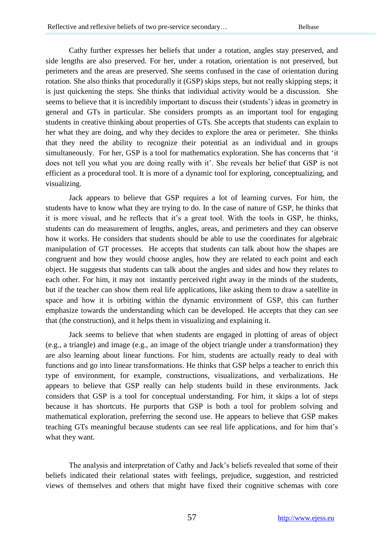Cathy further expresses her beliefs that under a rotation, angles stay preserved, and side lengths are also preserved. For her, under a rotation, orientation is not preserved, but perimeters and the areas are preserved. She seems confused in the case of orientation during rotation. She also thinks that procedurally it (GSP) skips steps, but not really skipping steps; it is just quickening the steps. She thinks that individual activity would be a discussion. She seems to believe that it is incredibly important to discuss their (students') ideas in geometry in general and GTs in particular. She considers prompts as an important tool for engaging students in creative thinking about properties of GTs. She accepts that students can explain to her what they are doing, and why they decides to explore the area or perimeter. She thinks that they need the ability to recognize their potential as an individual and in groups simultaneously. For her, GSP is a tool for mathematics exploration. She has concerns that "it does not tell you what you are doing really with it'. She reveals her belief that GSP is not efficient as a procedural tool. It is more of a dynamic tool for exploring, conceptualizing, and visualizing.

Jack appears to believe that GSP requires a lot of learning curves. For him, the students have to know what they are trying to do. In the case of nature of GSP, he thinks that it is more visual, and he reflects that it's a great tool. With the tools in GSP, he thinks, students can do measurement of lengths, angles, areas, and perimeters and they can observe how it works. He considers that students should be able to use the coordinates for algebraic manipulation of GT processes. He accepts that students can talk about how the shapes are congruent and how they would choose angles, how they are related to each point and each object. He suggests that students can talk about the angles and sides and how they relates to each other. For him, it may not instantly perceived right away in the minds of the students, but if the teacher can show them real life applications, like asking them to draw a satellite in space and how it is orbiting within the dynamic environment of GSP, this can further emphasize towards the understanding which can be developed. He accepts that they can see that (the construction), and it helps them in visualizing and explaining it.

Jack seems to believe that when students are engaged in plotting of areas of object (e.g., a triangle) and image (e.g., an image of the object triangle under a transformation) they are also learning about linear functions. For him, students are actually ready to deal with functions and go into linear transformations. He thinks that GSP helps a teacher to enrich this type of environment, for example, constructions, visualizations, and verbalizations. He appears to believe that GSP really can help students build in these environments. Jack considers that GSP is a tool for conceptual understanding. For him, it skips a lot of steps because it has shortcuts. He purports that GSP is both a tool for problem solving and mathematical exploration, preferring the second use. He appears to believe that GSP makes teaching GTs meaningful because students can see real life applications, and for him that"s what they want.

The analysis and interpretation of Cathy and Jack"s beliefs revealed that some of their beliefs indicated their relational states with feelings, prejudice, suggestion, and restricted views of themselves and others that might have fixed their cognitive schemas with core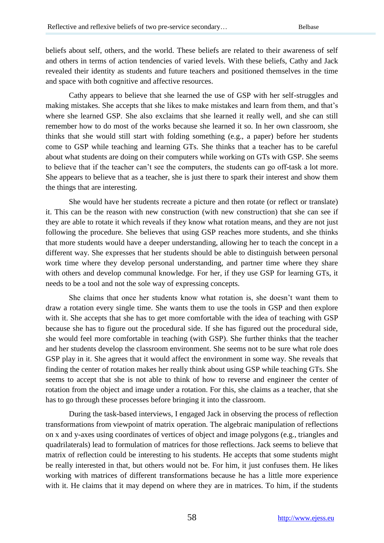beliefs about self, others, and the world. These beliefs are related to their awareness of self and others in terms of action tendencies of varied levels. With these beliefs, Cathy and Jack revealed their identity as students and future teachers and positioned themselves in the time and space with both cognitive and affective resources.

Cathy appears to believe that she learned the use of GSP with her self-struggles and making mistakes. She accepts that she likes to make mistakes and learn from them, and that's where she learned GSP. She also exclaims that she learned it really well, and she can still remember how to do most of the works because she learned it so. In her own classroom, she thinks that she would still start with folding something (e.g., a paper) before her students come to GSP while teaching and learning GTs. She thinks that a teacher has to be careful about what students are doing on their computers while working on GTs with GSP. She seems to believe that if the teacher can"t see the computers, the students can go off-task a lot more. She appears to believe that as a teacher, she is just there to spark their interest and show them the things that are interesting.

She would have her students recreate a picture and then rotate (or reflect or translate) it. This can be the reason with new construction (with new construction) that she can see if they are able to rotate it which reveals if they know what rotation means, and they are not just following the procedure. She believes that using GSP reaches more students, and she thinks that more students would have a deeper understanding, allowing her to teach the concept in a different way. She expresses that her students should be able to distinguish between personal work time where they develop personal understanding, and partner time where they share with others and develop communal knowledge. For her, if they use GSP for learning GTs, it needs to be a tool and not the sole way of expressing concepts.

She claims that once her students know what rotation is, she doesn"t want them to draw a rotation every single time. She wants them to use the tools in GSP and then explore with it. She accepts that she has to get more comfortable with the idea of teaching with GSP because she has to figure out the procedural side. If she has figured out the procedural side, she would feel more comfortable in teaching (with GSP). She further thinks that the teacher and her students develop the classroom environment. She seems not to be sure what role does GSP play in it. She agrees that it would affect the environment in some way. She reveals that finding the center of rotation makes her really think about using GSP while teaching GTs. She seems to accept that she is not able to think of how to reverse and engineer the center of rotation from the object and image under a rotation. For this, she claims as a teacher, that she has to go through these processes before bringing it into the classroom.

During the task-based interviews, I engaged Jack in observing the process of reflection transformations from viewpoint of matrix operation. The algebraic manipulation of reflections on x and y-axes using coordinates of vertices of object and image polygons (e.g., triangles and quadrilaterals) lead to formulation of matrices for those reflections. Jack seems to believe that matrix of reflection could be interesting to his students. He accepts that some students might be really interested in that, but others would not be. For him, it just confuses them. He likes working with matrices of different transformations because he has a little more experience with it. He claims that it may depend on where they are in matrices. To him, if the students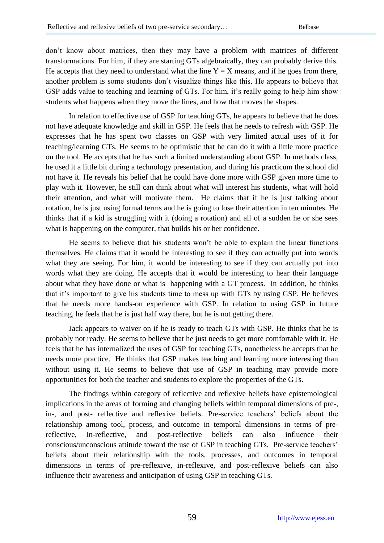don"t know about matrices, then they may have a problem with matrices of different transformations. For him, if they are starting GTs algebraically, they can probably derive this. He accepts that they need to understand what the line  $Y = X$  means, and if he goes from there, another problem is some students don"t visualize things like this. He appears to believe that GSP adds value to teaching and learning of GTs. For him, it's really going to help him show students what happens when they move the lines, and how that moves the shapes.

In relation to effective use of GSP for teaching GTs, he appears to believe that he does not have adequate knowledge and skill in GSP. He feels that he needs to refresh with GSP. He expresses that he has spent two classes on GSP with very limited actual uses of it for teaching/learning GTs. He seems to be optimistic that he can do it with a little more practice on the tool. He accepts that he has such a limited understanding about GSP. In methods class, he used it a little bit during a technology presentation, and during his practicum the school did not have it. He reveals his belief that he could have done more with GSP given more time to play with it. However, he still can think about what will interest his students, what will hold their attention, and what will motivate them. He claims that if he is just talking about rotation, he is just using formal terms and he is going to lose their attention in ten minutes. He thinks that if a kid is struggling with it (doing a rotation) and all of a sudden he or she sees what is happening on the computer, that builds his or her confidence.

He seems to believe that his students won"t be able to explain the linear functions themselves. He claims that it would be interesting to see if they can actually put into words what they are seeing. For him, it would be interesting to see if they can actually put into words what they are doing. He accepts that it would be interesting to hear their language about what they have done or what is happening with a GT process. In addition, he thinks that it"s important to give his students time to mess up with GTs by using GSP. He believes that he needs more hands-on experience with GSP. In relation to using GSP in future teaching, he feels that he is just half way there, but he is not getting there.

Jack appears to waiver on if he is ready to teach GTs with GSP. He thinks that he is probably not ready. He seems to believe that he just needs to get more comfortable with it. He feels that he has internalized the uses of GSP for teaching GTs, nonetheless he accepts that he needs more practice. He thinks that GSP makes teaching and learning more interesting than without using it. He seems to believe that use of GSP in teaching may provide more opportunities for both the teacher and students to explore the properties of the GTs.

The findings within category of reflective and reflexive beliefs have epistemological implications in the areas of forming and changing beliefs within temporal dimensions of pre-, in-, and post- reflective and reflexive beliefs. Pre-service teachers" beliefs about the relationship among tool, process, and outcome in temporal dimensions in terms of prereflective, in-reflective, and post-reflective beliefs can also influence their conscious/unconscious attitude toward the use of GSP in teaching GTs. Pre-service teachers" beliefs about their relationship with the tools, processes, and outcomes in temporal dimensions in terms of pre-reflexive, in-reflexive, and post-reflexive beliefs can also influence their awareness and anticipation of using GSP in teaching GTs.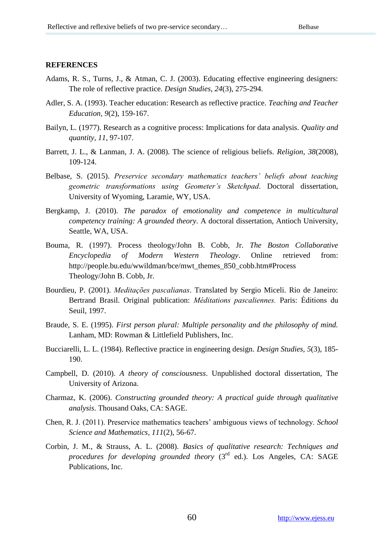#### **REFERENCES**

- Adams, R. S., Turns, J., & Atman, C. J. (2003). Educating effective engineering designers: The role of reflective practice. *Design Studies, 24*(3), 275-294.
- Adler, S. A. (1993). Teacher education: Research as reflective practice. *Teaching and Teacher Education, 9*(2), 159-167.
- Bailyn, L. (1977). Research as a cognitive process: Implications for data analysis. *Quality and quantity, 11*, 97-107.
- Barrett, J. L., & Lanman, J. A. (2008). The science of religious beliefs. *Religion, 38*(2008), 109-124.
- Belbase, S. (2015). *Preservice secondary mathematics teachers' beliefs about teaching geometric transformations using Geometer's Sketchpad*. Doctoral dissertation, University of Wyoming, Laramie, WY, USA.
- Bergkamp, J. (2010). *The paradox of emotionality and competence in multicultural competency training: A grounded theory*. A doctoral dissertation, Antioch University, Seattle, WA, USA.
- Bouma, R. (1997). Process theology/John B. Cobb, Jr. *The Boston Collaborative Encyclopedia of Modern Western Theology*. Online retrieved from: http://people.bu.edu/wwildman/bce/mwt\_themes\_850\_cobb.htm#Process Theology/John B. Cobb, Jr.
- Bourdieu, P. (2001). *Meditações pascalianas*. Translated by Sergio Miceli. Rio de Janeiro: Bertrand Brasil. Original publication: *Méditations pascaliennes.* Paris: Éditions du Seuil, 1997.
- Braude, S. E. (1995). *First person plural: Multiple personality and the philosophy of mind.* Lanham, MD: Rowman & Littlefield Publishers, Inc.
- Bucciarelli, L. L. (1984). Reflective practice in engineering design. *Design Studies, 5*(3), 185- 190.
- Campbell, D. (2010). *A theory of consciousness*. Unpublished doctoral dissertation, The University of Arizona.
- Charmaz, K. (2006). *Constructing grounded theory: A practical guide through qualitative analysis*. Thousand Oaks, CA: SAGE.
- Chen, R. J. (2011). Preservice mathematics teachers" ambiguous views of technology. *School Science and Mathematics, 111*(2), 56-67.
- Corbin, J. M., & Strauss, A. L. (2008). *Basics of qualitative research: Techniques and procedures for developing grounded theory (3<sup>rd</sup> ed.).* Los Angeles, CA: SAGE Publications, Inc.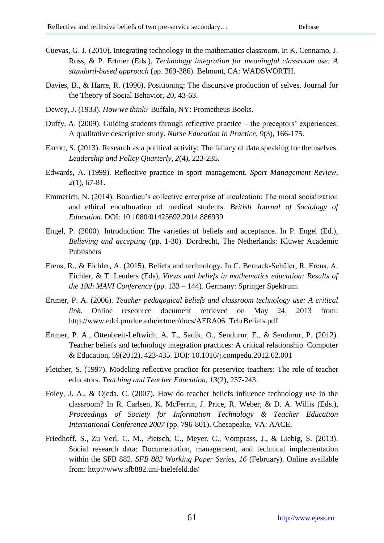- Cuevas, G. J. (2010). Integrating technology in the mathematics classroom. In K. Cennamo, J. Ross, & P. Ertmer (Eds.), *Technology integration for meaningful classroom use: A standard-based approach* (pp. 369-386). Belmont, CA: WADSWORTH.
- Davies, B., & Harre, R. (1990). Positioning: The discursive production of selves. Journal for the Theory of Social Behavior, 20, 43-63.
- Dewey, J. (1933). *How we think*? Buffalo, NY: Prometheus Books.
- Duffy, A.  $(2009)$ . Guiding students through reflective practice the preceptors' experiences: A qualitative descriptive study. *Nurse Education in Practice, 9*(3), 166-175.
- Eacott, S. (2013). Research as a political activity: The fallacy of data speaking for themselves. *Leadership and Policy Quarterly, 2*(4), 223-235.
- Edwards, A. (1999). Reflective practice in sport management. *Sport Management Review, 2*(1), 67-81.
- Emmerich, N. (2014). Bourdieu"s collective enterprise of inculcation: The moral socialization and ethical enculturation of medical students. *British Journal of Sociology of Education*. DOI: 10.1080/01425692.2014.886939
- Engel, P. (2000). Introduction: The varieties of beliefs and acceptance. In P. Engel (Ed.), *Believing and accepting* (pp. 1-30). Dordrecht, The Netherlands: Kluwer Academic Publishers
- Erens, R., & Eichler, A. (2015). Beliefs and technology. In C. Bernack-Schüler, R. Erens, A. Eichler, & T. Leuders (Eds), *Views and beliefs in mathematics education: Results of the 19th MAVI Conference* (pp. 133 – 144). Germany: Springer Spektrum.
- Ertmer, P. A. (2006). *Teacher pedagogical beliefs and classroom technology use: A critical link*. Online reseource document retrieved on May 24, 2013 from: [http://www.edci.purdue.edu/ertmer/docs/AERA06\\_TchrBeliefs.pdf](http://www.edci.purdue.edu/ertmer/docs/AERA06_TchrBeliefs.pdf)
- Ertmer, P. A., Ottenbreit-Leftwich, A. T., Sadik, O., Sendurur, E., & Sendurur, P. (2012). Teacher beliefs and technology integration practices: A critical relationship. Computer & Education, 59(2012), 423-435. DOI: 10.1016/j.compedu.2012.02.001
- Fletcher, S. (1997). Modeling reflective practice for preservice teachers: The role of teacher educators. *Teaching and Teacher Education, 13*(2), 237-243.
- Foley, J. A., & Ojeda, C. (2007). How do teacher beliefs influence technology use in the classroom? In R. Carlsen, K. McFerrin, J. Price, R. Weber, & D. A. Willis (Eds.), *Proceedings of Society for Information Technology & Teacher Education International Conference 2007* (pp. 796-801). Chesapeake, VA: AACE.
- Friedhoff, S., Zu Verl, C. M., Pietsch, C., Meyer, C., Vomprass, J., & Liebig, S. (2013). Social research data: Documentation, management, and technical implementation within the SFB 882. *SFB 882 Working Paper Series, 16* (February). Online available from: http://www.sfb882.uni-bielefeld.de/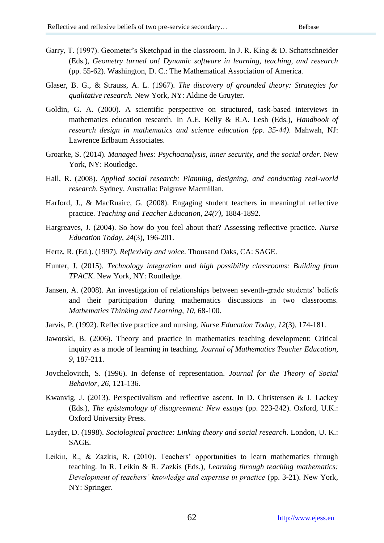- Garry, T. (1997). Geometer's Sketchpad in the classroom. In J. R. King & D. Schattschneider (Eds.), *Geometry turned on! Dynamic software in learning, teaching, and research* (pp. 55-62). Washington, D. C.: The Mathematical Association of America.
- Glaser, B. G., & Strauss, A. L. (1967). *The discovery of grounded theory: Strategies for qualitative research.* New York, NY: Aldine de Gruyter.
- Goldin, G. A. (2000). A scientific perspective on structured, task-based interviews in mathematics education research. In A.E. Kelly & R.A. Lesh (Eds.), *Handbook of research design in mathematics and science education (pp. 35-44)*. Mahwah, NJ: Lawrence Erlbaum Associates.
- Groarke, S. (2014). *Managed lives: Psychoanalysis, inner security, and the social order*. New York, NY: Routledge.
- Hall, R. (2008). *Applied social research: Planning, designing, and conducting real-world research*. Sydney, Australia: Palgrave Macmillan.
- Harford, J., & MacRuairc, G. (2008). Engaging student teachers in meaningful reflective practice. *Teaching and Teacher Education, 24(7)*, 1884-1892.
- Hargreaves, J. (2004). So how do you feel about that? Assessing reflective practice. *Nurse Education Today, 24*(3), 196-201.
- Hertz, R. (Ed.). (1997). *Reflexivity and voice*. Thousand Oaks, CA: SAGE.
- Hunter, J. (2015). *Technology integration and high possibility classrooms: Building from TPACK*. New York, NY: Routledge.
- Jansen, A. (2008). An investigation of relationships between seventh-grade students" beliefs and their participation during mathematics discussions in two classrooms. *Mathematics Thinking and Learning, 10*, 68-100.
- Jarvis, P. (1992). Reflective practice and nursing. *Nurse Education Today, 12*(3), 174-181.
- Jaworski, B. (2006). Theory and practice in mathematics teaching development: Critical inquiry as a mode of learning in teaching. *Journal of Mathematics Teacher Education, 9*, 187-211.
- Jovchelovitch, S. (1996). In defense of representation. *Journal for the Theory of Social Behavior, 26*, 121-136.
- Kwanvig, J. (2013). Perspectivalism and reflective ascent. In D. Christensen & J. Lackey (Eds.), *The epistemology of disagreement: New essays* (pp. 223-242). Oxford, U.K.: Oxford University Press.
- Layder, D. (1998). *Sociological practice: Linking theory and social research*. London, U. K.: **SAGE**
- Leikin, R., & Zazkis, R. (2010). Teachers' opportunities to learn mathematics through teaching. In R. Leikin & R. Zazkis (Eds.), *Learning through teaching mathematics: Development of teachers' knowledge and expertise in practice* (pp. 3-21). New York, NY: Springer.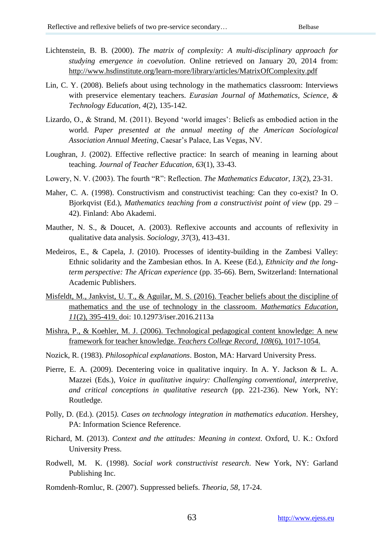- Lichtenstein, B. B. (2000). *The matrix of complexity: A multi-disciplinary approach for studying emergence in coevolution*. Online retrieved on January 20, 2014 from: <http://www.hsdinstitute.org/learn-more/library/articles/MatrixOfComplexity.pdf>
- Lin, C. Y. (2008). Beliefs about using technology in the mathematics classroom: Interviews with preservice elementary teachers. *Eurasian Journal of Mathematics, Science, & Technology Education, 4*(2), 135-142.
- Lizardo, O., & Strand, M. (2011). Beyond 'world images': Beliefs as embodied action in the world. *Paper presented at the annual meeting of the American Sociological Association Annual Meeting*, Caesar"s Palace, Las Vegas, NV.
- Loughran, J. (2002). Effective reflective practice: In search of meaning in learning about teaching. *Journal of Teacher Education, 63*(1), 33-43.
- Lowery, N. V. (2003). The fourth "R": Reflection. *The Mathematics Educator, 13*(2), 23-31.
- Maher, C. A. (1998). Constructivism and constructivist teaching: Can they co-exist? In O. Bjorkqvist (Ed.), *Mathematics teaching from a constructivist point of view* (pp. 29 – 42). Finland: Abo Akademi.
- Mauther, N. S., & Doucet, A. (2003). Reflexive accounts and accounts of reflexivity in qualitative data analysis. *Sociology, 37*(3), 413-431.
- Medeiros, E., & Capela, J. (2010). Processes of identity-building in the Zambesi Valley: Ethnic solidarity and the Zambesian ethos. In A. Keese (Ed.), *Ethnicity and the longterm perspective: The African experience* (pp. 35-66). Bern, Switzerland: International Academic Publishers.
- Misfeldt, M., Jankvist, U. T., & Aguilar, M. S. (2016). Teacher beliefs about the discipline of mathematics and the use of technology in the classroom. *Mathematics Education, 11*(2), 395-419. doi: 10.12973/iser.2016.2113a
- Mishra, P., & Koehler, M. J. (2006). Technological pedagogical content knowledge: A new framework for teacher knowledge. *Teachers College Record, 108*(6), 1017-1054.
- Nozick, R. (1983). *Philosophical explanations*. Boston, MA: Harvard University Press.
- Pierre, E. A. (2009). Decentering voice in qualitative inquiry. In A. Y. Jackson & L. A. Mazzei (Eds.), *Voice in qualitative inquiry: Challenging conventional, interpretive, and critical conceptions in qualitative research* (pp. 221-236). New York, NY: Routledge.
- Polly, D. (Ed.). (2015*). Cases on technology integration in mathematics education*. Hershey, PA: Information Science Reference.
- Richard, M. (2013). *Context and the attitudes: Meaning in context*. Oxford, U. K.: Oxford University Press.
- Rodwell, M. K. (1998). *Social work constructivist research*. New York, NY: Garland Publishing Inc.
- Romdenh-Romluc, R. (2007). Suppressed beliefs. *Theoria, 58*, 17-24.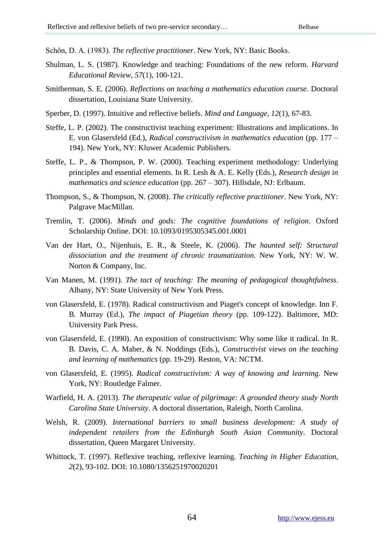Schön, D. A. (1983). *The reflective practitioner*. New York, NY: Basic Books.

- Shulman, L. S. (1987). Knowledge and teaching: Foundations of the new reform. *Harvard Educational Review, 57*(1), 100-121.
- Smitherman, S. E. (2006). *Reflections on teaching a mathematics education course*. Doctoral dissertation, Louisiana State University.
- Sperber, D. (1997). Intuitive and reflective beliefs. *Mind and Language, 12*(1), 67-83.
- Steffe, L. P. (2002). The constructivist teaching experiment: Illustrations and implications. In E. von Glasersfeld (Ed.), *Radical constructivism in mathematics education* (pp. 177 – 194). New York, NY: Kluwer Academic Publishers.
- Steffe, L. P., & Thompson, P. W. (2000). Teaching experiment methodology: Underlying principles and essential elements. In R. Lesh & A. E. Kelly (Eds.), *Research design in mathematics and science education* (pp. 267 – 307). Hillsdale, NJ: Erlbaum.
- Thompson, S., & Thompson, N. (2008). *The critically reflective practitioner*. New York, NY: Palgrave MacMillan.
- Tremlin, T. (2006). *Minds and gods: The cognitive foundations of religion*. Oxford Scholarship Online. DOI: 10.1093/0195305345.001.0001
- Van der Hart, O., Nijenhuis, E. R., & Steele, K. (2006). *The haunted self: Structural dissociation and the treatment of chronic traumatization.* New York, NY: W. W. Norton & Company, Inc.
- Van Manen, M. (1991). *The tact of teaching: The meaning of pedagogical thoughtfulness*. Albany, NY: State University of New York Press.
- von Glasersfeld, E. (1978). Radical constructivism and Piaget's concept of knowledge. Inn F. B. Murray (Ed.), *The impact of Piagetian theory* (pp. 109-122). Baltimore, MD: University Park Press.
- von Glasersfeld, E. (1990). An exposition of constructivism: Why some like it radical. In R. B. Davis, C. A. Maher, & N. Noddings (Eds.), *Constructivist views on the teaching and learning of mathematics* (pp. 19-29). Reston, VA: NCTM.
- von Glasersfeld, E. (1995). *Radical constructivism: A way of knowing and learning*. New York, NY: Routledge Falmer.
- Warfield, H. A. (2013). *The therapeutic value of pilgrimage: A grounded theory study North Carolina State University*. A doctoral dissertation, Raleigh, North Carolina.
- Welsh, R. (2009). *International barriers to small business development: A study of independent retailers from the Edinburgh South Asian Community*. Doctoral dissertation, Queen Margaret University.
- Whittock, T. (1997). Reflexive teaching, reflexive learning. *Teaching in Higher Education, 2*(2), 93-102. DOI: 10.1080/1356251970020201